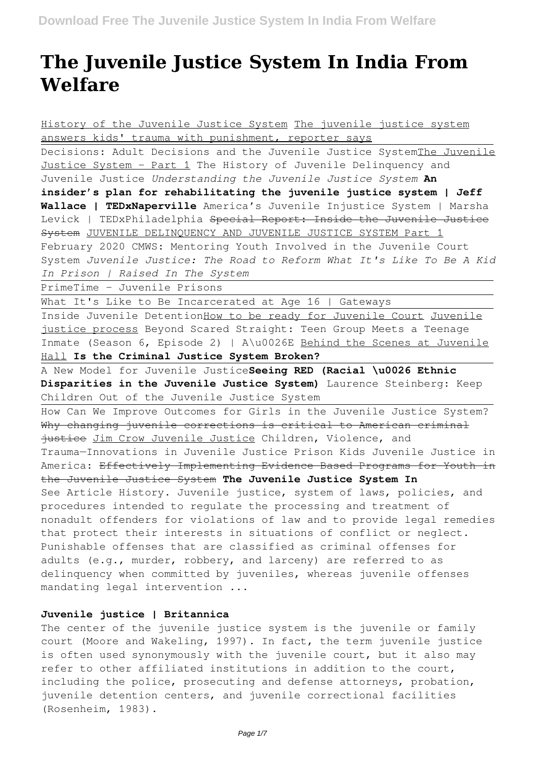# **The Juvenile Justice System In India From Welfare**

History of the Juvenile Justice System The juvenile justice system answers kids' trauma with punishment, reporter says Decisions: Adult Decisions and the Juvenile Justice SystemThe Juvenile Justice System - Part 1 The History of Juvenile Delinquency and Juvenile Justice *Understanding the Juvenile Justice System* **An insider's plan for rehabilitating the juvenile justice system | Jeff Wallace | TEDxNaperville** America's Juvenile Injustice System | Marsha Levick | TEDxPhiladelphia Special Report: Inside the Juvenile Justice System JUVENILE DELINQUENCY AND JUVENILE JUSTICE SYSTEM Part 1 February 2020 CMWS: Mentoring Youth Involved in the Juvenile Court System *Juvenile Justice: The Road to Reform What It's Like To Be A Kid In Prison | Raised In The System* PrimeTime - Juvenile Prisons What It's Like to Be Incarcerated at Age 16 | Gateways Inside Juvenile DetentionHow to be ready for Juvenile Court Juvenile justice process Beyond Scared Straight: Teen Group Meets a Teenage Inmate (Season 6, Episode 2) | A\u0026E Behind the Scenes at Juvenile Hall **Is the Criminal Justice System Broken?** A New Model for Juvenile Justice**Seeing RED (Racial \u0026 Ethnic Disparities in the Juvenile Justice System)** Laurence Steinberg: Keep Children Out of the Juvenile Justice System How Can We Improve Outcomes for Girls in the Juvenile Justice System? Why changing juvenile corrections is critical to American criminal justice Jim Crow Juvenile Justice Children, Violence, and Trauma—Innovations in Juvenile Justice Prison Kids Juvenile Justice in America: Effectively Implementing Evidence Based Programs for Youth in the Juvenile Justice System **The Juvenile Justice System In** See Article History. Juvenile justice, system of laws, policies, and procedures intended to regulate the processing and treatment of nonadult offenders for violations of law and to provide legal remedies that protect their interests in situations of conflict or neglect. Punishable offenses that are classified as criminal offenses for adults (e.g., murder, robbery, and larceny) are referred to as delinquency when committed by juveniles, whereas juvenile offenses mandating legal intervention ...

# **Juvenile justice | Britannica**

The center of the juvenile justice system is the juvenile or family court (Moore and Wakeling, 1997). In fact, the term juvenile justice is often used synonymously with the juvenile court, but it also may refer to other affiliated institutions in addition to the court, including the police, prosecuting and defense attorneys, probation, juvenile detention centers, and juvenile correctional facilities (Rosenheim, 1983).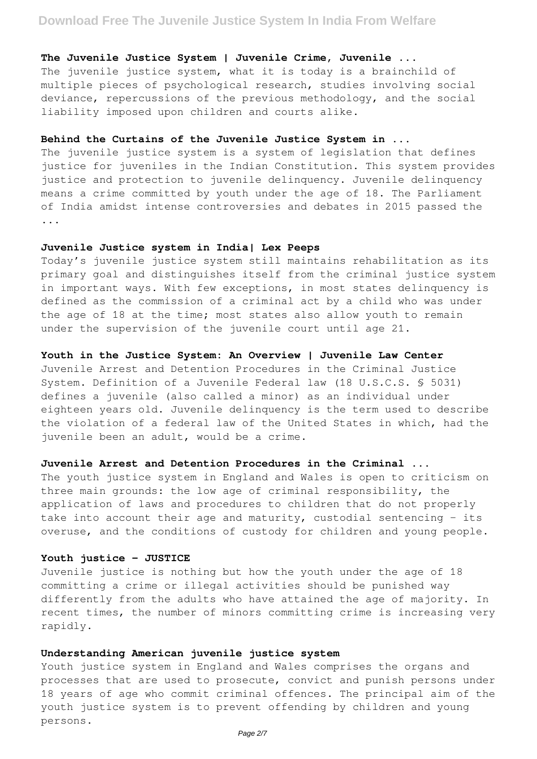# **Download Free The Juvenile Justice System In India From Welfare**

### **The Juvenile Justice System | Juvenile Crime, Juvenile ...**

The juvenile justice system, what it is today is a brainchild of multiple pieces of psychological research, studies involving social deviance, repercussions of the previous methodology, and the social liability imposed upon children and courts alike.

### **Behind the Curtains of the Juvenile Justice System in ...**

The juvenile justice system is a system of legislation that defines justice for juveniles in the Indian Constitution. This system provides justice and protection to juvenile delinquency. Juvenile delinquency means a crime committed by youth under the age of 18. The Parliament of India amidst intense controversies and debates in 2015 passed the ...

### **Juvenile Justice system in India| Lex Peeps**

Today's juvenile justice system still maintains rehabilitation as its primary goal and distinguishes itself from the criminal justice system in important ways. With few exceptions, in most states delinquency is defined as the commission of a criminal act by a child who was under the age of 18 at the time; most states also allow youth to remain under the supervision of the juvenile court until age 21.

### **Youth in the Justice System: An Overview | Juvenile Law Center**

Juvenile Arrest and Detention Procedures in the Criminal Justice System. Definition of a Juvenile Federal law (18 U.S.C.S. § 5031) defines a juvenile (also called a minor) as an individual under eighteen years old. Juvenile delinquency is the term used to describe the violation of a federal law of the United States in which, had the juvenile been an adult, would be a crime.

# **Juvenile Arrest and Detention Procedures in the Criminal ...**

The youth justice system in England and Wales is open to criticism on three main grounds: the low age of criminal responsibility, the application of laws and procedures to children that do not properly take into account their age and maturity, custodial sentencing – its overuse, and the conditions of custody for children and young people.

### **Youth justice - JUSTICE**

Juvenile justice is nothing but how the youth under the age of 18 committing a crime or illegal activities should be punished way differently from the adults who have attained the age of majority. In recent times, the number of minors committing crime is increasing very rapidly.

### **Understanding American juvenile justice system**

Youth justice system in England and Wales comprises the organs and processes that are used to prosecute, convict and punish persons under 18 years of age who commit criminal offences. The principal aim of the youth justice system is to prevent offending by children and young persons.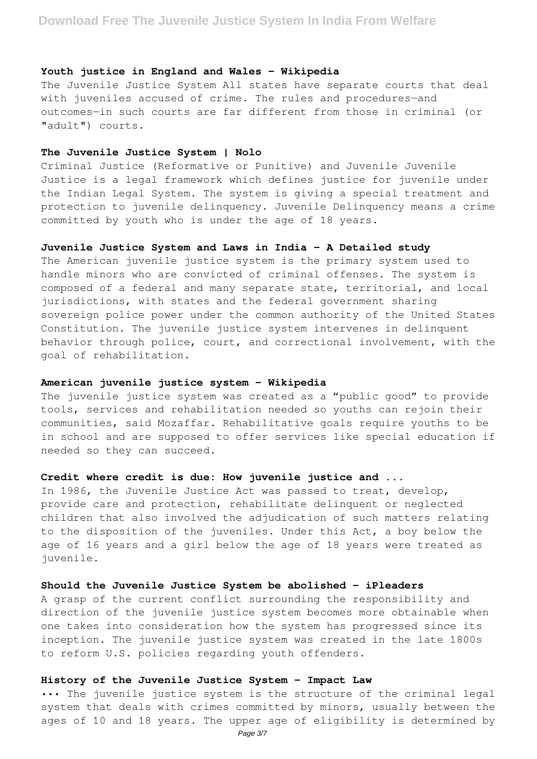### **Youth justice in England and Wales - Wikipedia**

The Juvenile Justice System All states have separate courts that deal with juveniles accused of crime. The rules and procedures—and outcomes—in such courts are far different from those in criminal (or "adult") courts.

### **The Juvenile Justice System | Nolo**

Criminal Justice (Reformative or Punitive) and Juvenile Juvenile Justice is a legal framework which defines justice for juvenile under the Indian Legal System. The system is giving a special treatment and protection to juvenile delinquency. Juvenile Delinquency means a crime committed by youth who is under the age of 18 years.

### **Juvenile Justice System and Laws in India - A Detailed study**

The American juvenile justice system is the primary system used to handle minors who are convicted of criminal offenses. The system is composed of a federal and many separate state, territorial, and local jurisdictions, with states and the federal government sharing sovereign police power under the common authority of the United States Constitution. The juvenile justice system intervenes in delinquent behavior through police, court, and correctional involvement, with the goal of rehabilitation.

### **American juvenile justice system - Wikipedia**

The juvenile justice system was created as a "public good" to provide tools, services and rehabilitation needed so youths can rejoin their communities, said Mozaffar. Rehabilitative goals require youths to be in school and are supposed to offer services like special education if needed so they can succeed.

# **Credit where credit is due: How juvenile justice and ...**

In 1986, the Juvenile Justice Act was passed to treat, develop, provide care and protection, rehabilitate delinquent or neglected children that also involved the adjudication of such matters relating to the disposition of the juveniles. Under this Act, a boy below the age of 16 years and a girl below the age of 18 years were treated as juvenile.

### **Should the Juvenile Justice System be abolished - iPleaders**

A grasp of the current conflict surrounding the responsibility and direction of the juvenile justice system becomes more obtainable when one takes into consideration how the system has progressed since its inception. The juvenile justice system was created in the late 1800s to reform U.S. policies regarding youth offenders.

### **History of the Juvenile Justice System - Impact Law**

••• The juvenile justice system is the structure of the criminal legal system that deals with crimes committed by minors, usually between the ages of 10 and 18 years. The upper age of eligibility is determined by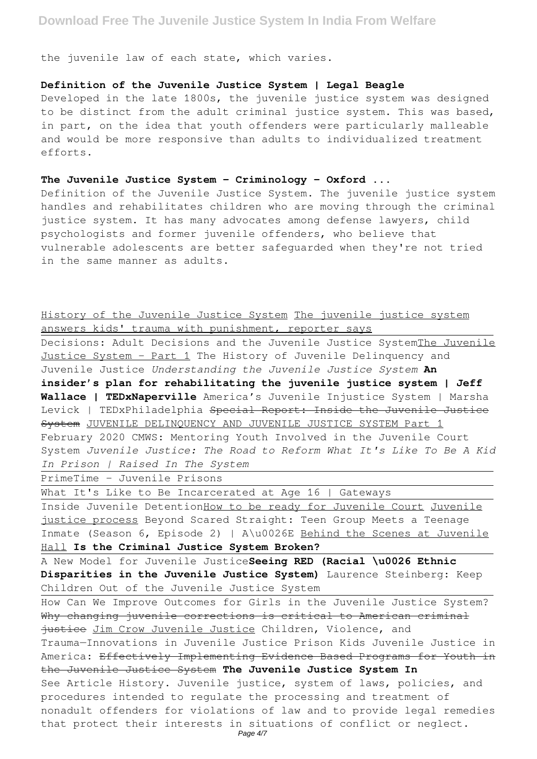# **Download Free The Juvenile Justice System In India From Welfare**

the juvenile law of each state, which varies.

# **Definition of the Juvenile Justice System | Legal Beagle**

Developed in the late 1800s, the juvenile justice system was designed to be distinct from the adult criminal justice system. This was based, in part, on the idea that youth offenders were particularly malleable and would be more responsive than adults to individualized treatment efforts.

### **The Juvenile Justice System - Criminology - Oxford ...**

Definition of the Juvenile Justice System. The juvenile justice system handles and rehabilitates children who are moving through the criminal justice system. It has many advocates among defense lawyers, child psychologists and former juvenile offenders, who believe that vulnerable adolescents are better safeguarded when they're not tried in the same manner as adults.

# History of the Juvenile Justice System The juvenile justice system

answers kids' trauma with punishment, reporter says

Decisions: Adult Decisions and the Juvenile Justice SystemThe Juvenile Justice System - Part 1 The History of Juvenile Delinquency and Juvenile Justice *Understanding the Juvenile Justice System* **An insider's plan for rehabilitating the juvenile justice system | Jeff Wallace | TEDxNaperville** America's Juvenile Injustice System | Marsha Levick | TEDxPhiladelphia Special Report: Inside the Juvenile Justice System JUVENILE DELINQUENCY AND JUVENILE JUSTICE SYSTEM Part 1 February 2020 CMWS: Mentoring Youth Involved in the Juvenile Court System *Juvenile Justice: The Road to Reform What It's Like To Be A Kid In Prison | Raised In The System*

PrimeTime - Juvenile Prisons

What It's Like to Be Incarcerated at Age 16 | Gateways

Inside Juvenile DetentionHow to be ready for Juvenile Court Juvenile justice process Beyond Scared Straight: Teen Group Meets a Teenage Inmate (Season 6, Episode 2) | A\u0026E Behind the Scenes at Juvenile Hall **Is the Criminal Justice System Broken?**

A New Model for Juvenile Justice**Seeing RED (Racial \u0026 Ethnic Disparities in the Juvenile Justice System)** Laurence Steinberg: Keep Children Out of the Juvenile Justice System

How Can We Improve Outcomes for Girls in the Juvenile Justice System? Why changing juvenile corrections is critical to American criminal justice Jim Crow Juvenile Justice Children, Violence, and Trauma—Innovations in Juvenile Justice Prison Kids Juvenile Justice in America: Effectively Implementing Evidence Based Programs for Youth in the Juvenile Justice System **The Juvenile Justice System In** See Article History. Juvenile justice, system of laws, policies, and procedures intended to regulate the processing and treatment of nonadult offenders for violations of law and to provide legal remedies that protect their interests in situations of conflict or neglect.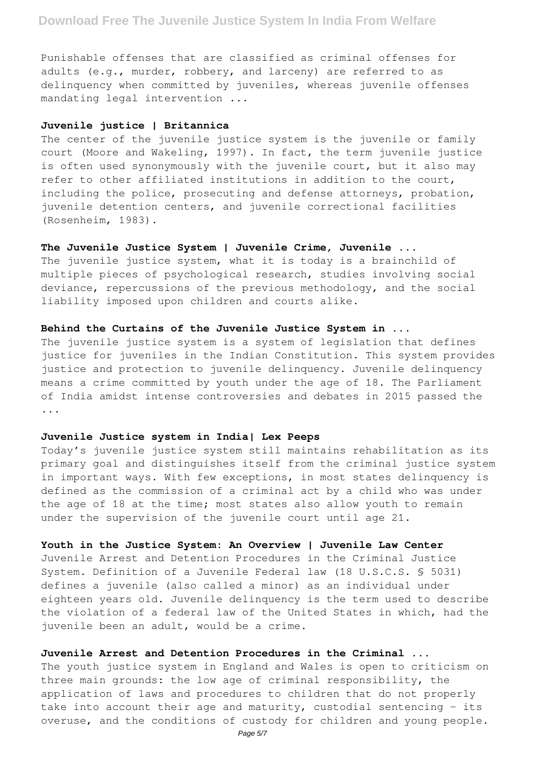Punishable offenses that are classified as criminal offenses for adults (e.g., murder, robbery, and larceny) are referred to as delinquency when committed by juveniles, whereas juvenile offenses mandating legal intervention ...

# **Juvenile justice | Britannica**

The center of the juvenile justice system is the juvenile or family court (Moore and Wakeling, 1997). In fact, the term juvenile justice is often used synonymously with the juvenile court, but it also may refer to other affiliated institutions in addition to the court, including the police, prosecuting and defense attorneys, probation, juvenile detention centers, and juvenile correctional facilities (Rosenheim, 1983).

# **The Juvenile Justice System | Juvenile Crime, Juvenile ...**

The juvenile justice system, what it is today is a brainchild of multiple pieces of psychological research, studies involving social deviance, repercussions of the previous methodology, and the social liability imposed upon children and courts alike.

### **Behind the Curtains of the Juvenile Justice System in ...**

The juvenile justice system is a system of legislation that defines justice for juveniles in the Indian Constitution. This system provides justice and protection to juvenile delinquency. Juvenile delinquency means a crime committed by youth under the age of 18. The Parliament of India amidst intense controversies and debates in 2015 passed the ...

### **Juvenile Justice system in India| Lex Peeps**

Today's juvenile justice system still maintains rehabilitation as its primary goal and distinguishes itself from the criminal justice system in important ways. With few exceptions, in most states delinquency is defined as the commission of a criminal act by a child who was under the age of 18 at the time; most states also allow youth to remain under the supervision of the juvenile court until age 21.

# **Youth in the Justice System: An Overview | Juvenile Law Center**

Juvenile Arrest and Detention Procedures in the Criminal Justice System. Definition of a Juvenile Federal law (18 U.S.C.S. § 5031) defines a juvenile (also called a minor) as an individual under eighteen years old. Juvenile delinquency is the term used to describe the violation of a federal law of the United States in which, had the juvenile been an adult, would be a crime.

# **Juvenile Arrest and Detention Procedures in the Criminal ...**

The youth justice system in England and Wales is open to criticism on three main grounds: the low age of criminal responsibility, the application of laws and procedures to children that do not properly take into account their age and maturity, custodial sentencing – its overuse, and the conditions of custody for children and young people.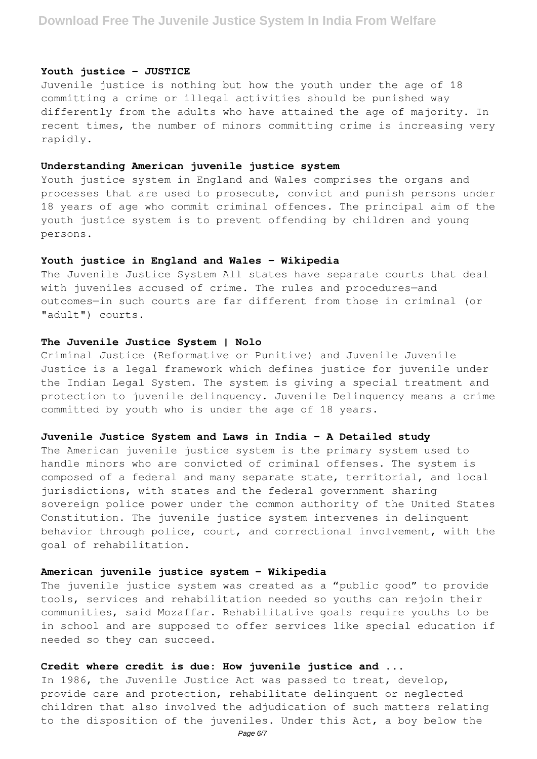### **Youth justice - JUSTICE**

Juvenile justice is nothing but how the youth under the age of 18 committing a crime or illegal activities should be punished way differently from the adults who have attained the age of majority. In recent times, the number of minors committing crime is increasing very rapidly.

# **Understanding American juvenile justice system**

Youth justice system in England and Wales comprises the organs and processes that are used to prosecute, convict and punish persons under 18 years of age who commit criminal offences. The principal aim of the youth justice system is to prevent offending by children and young persons.

### **Youth justice in England and Wales - Wikipedia**

The Juvenile Justice System All states have separate courts that deal with juveniles accused of crime. The rules and procedures—and outcomes—in such courts are far different from those in criminal (or "adult") courts.

# **The Juvenile Justice System | Nolo**

Criminal Justice (Reformative or Punitive) and Juvenile Juvenile Justice is a legal framework which defines justice for juvenile under the Indian Legal System. The system is giving a special treatment and protection to juvenile delinquency. Juvenile Delinquency means a crime committed by youth who is under the age of 18 years.

#### **Juvenile Justice System and Laws in India - A Detailed study**

The American juvenile justice system is the primary system used to handle minors who are convicted of criminal offenses. The system is composed of a federal and many separate state, territorial, and local jurisdictions, with states and the federal government sharing sovereign police power under the common authority of the United States Constitution. The juvenile justice system intervenes in delinquent behavior through police, court, and correctional involvement, with the goal of rehabilitation.

# **American juvenile justice system - Wikipedia**

The juvenile justice system was created as a "public good" to provide tools, services and rehabilitation needed so youths can rejoin their communities, said Mozaffar. Rehabilitative goals require youths to be in school and are supposed to offer services like special education if needed so they can succeed.

# **Credit where credit is due: How juvenile justice and ...**

In 1986, the Juvenile Justice Act was passed to treat, develop, provide care and protection, rehabilitate delinquent or neglected children that also involved the adjudication of such matters relating to the disposition of the juveniles. Under this Act, a boy below the